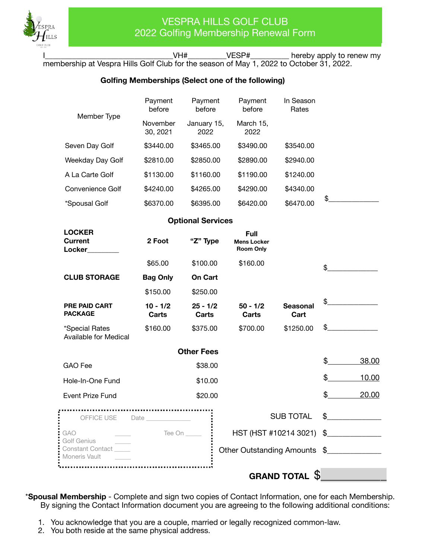

VH#\_\_\_\_\_\_\_\_\_\_\_VESP#\_\_\_\_\_\_\_\_\_\_\_ hereby apply to renew my membership at Vespra Hills Golf Club for the season of May 1, 2022 to October 31, 2022.

## **Golfing Memberships (Select one of the following)**

|                                    | Payment<br>before    | Payment<br>before   | Payment<br>before                                     | In Season<br>Rates |    |
|------------------------------------|----------------------|---------------------|-------------------------------------------------------|--------------------|----|
| Member Type                        | November<br>30, 2021 | January 15,<br>2022 | March 15,<br>2022                                     |                    |    |
| Seven Day Golf                     | \$3440.00            | \$3465.00           | \$3490.00                                             | \$3540.00          |    |
| Weekday Day Golf                   | \$2810.00            | \$2850.00           | \$2890.00                                             | \$2940.00          |    |
| A La Carte Golf                    | \$1130.00            | \$1160.00           | \$1190.00                                             | \$1240.00          |    |
| Convenience Golf                   | \$4240.00            | \$4265.00           | \$4290.00                                             | \$4340.00          |    |
| *Spousal Golf                      | \$6370.00            | \$6395.00           | \$6420.00                                             | \$6470.00          | \$ |
| <b>Optional Services</b>           |                      |                     |                                                       |                    |    |
| <b>LOCKER</b><br>Current<br>Locker | 2 Foot               | "Z" Type            | <b>Full</b><br><b>Mens Locker</b><br><b>Room Only</b> |                    |    |
|                                    | \$65.00              | \$100.00            | \$160.00                                              |                    | \$ |

| <b>CLUB STORAGE</b>                                    | <b>Bag Only</b>     | <b>On Cart</b>             |                              |                          |                |       |
|--------------------------------------------------------|---------------------|----------------------------|------------------------------|--------------------------|----------------|-------|
|                                                        | \$150.00            | \$250.00                   |                              |                          |                |       |
| PRE PAID CART<br><b>PACKAGE</b>                        | $10 - 1/2$<br>Carts | $25 - 1/2$<br>Carts        | $50 - 1/2$<br>Carts          | <b>Seasonal</b><br>Cart  | \$             |       |
| *Special Rates<br>Available for Medical                | \$160.00            | \$375.00                   | \$700.00                     | \$1250.00                | \$             |       |
|                                                        |                     | <b>Other Fees</b>          |                              |                          |                |       |
| GAO Fee                                                |                     | \$38.00                    |                              |                          | \$             | 38.00 |
| Hole-In-One Fund                                       |                     | \$10.00                    |                              |                          | $\mathfrak{S}$ | 10.00 |
| <b>Event Prize Fund</b>                                |                     | \$20.00                    |                              |                          | \$             | 20.00 |
| OFFICE USE                                             |                     |                            |                              | <b>SUB TOTAL</b>         | \$             |       |
| GAO                                                    |                     | $\text{Tee On } \_\_\_\_\$ |                              | HST (HST #10214 3021) \$ |                |       |
| Golf Genius<br>Constant Contact _____<br>Moneris Vault |                     |                            | Other Outstanding Amounts \$ |                          |                |       |

**GRAND TOTAL \$** 

\***Spousal Membership** - Complete and sign two copies of Contact Information, one for each Membership. By signing the Contact Information document you are agreeing to the following additional conditions:

- 1. You acknowledge that you are a couple, married or legally recognized common-law.
- 2. You both reside at the same physical address.